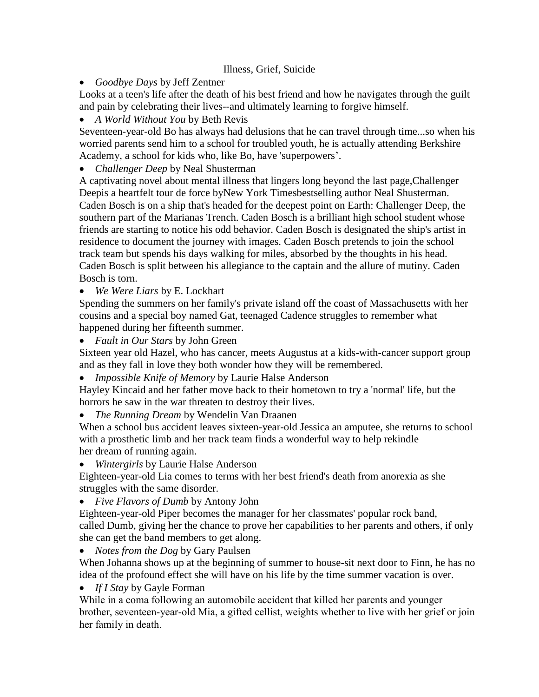## Illness, Grief, Suicide

*Goodbye Days* by Jeff Zentner

Looks at a teen's life after the death of his best friend and how he navigates through the guilt and pain by celebrating their lives--and ultimately learning to forgive himself.

*A World Without You* by Beth Revis

Seventeen-year-old Bo has always had delusions that he can travel through time...so when his worried parents send him to a school for troubled youth, he is actually attending Berkshire Academy, a school for kids who, like Bo, have 'superpowers'.

*Challenger Deep* by Neal Shusterman

A captivating novel about mental illness that lingers long beyond the last page,Challenger Deepis a heartfelt tour de force byNew York Timesbestselling author Neal Shusterman. Caden Bosch is on a ship that's headed for the deepest point on Earth: Challenger Deep, the southern part of the Marianas Trench. Caden Bosch is a brilliant high school student whose friends are starting to notice his odd behavior. Caden Bosch is designated the ship's artist in residence to document the journey with images. Caden Bosch pretends to join the school track team but spends his days walking for miles, absorbed by the thoughts in his head. Caden Bosch is split between his allegiance to the captain and the allure of mutiny. Caden Bosch is torn.

*We Were Liars* by E. Lockhart

Spending the summers on her family's private island off the coast of Massachusetts with her cousins and a special boy named Gat, teenaged Cadence struggles to remember what happened during her fifteenth summer.

*Fault in Our Stars* by John Green

Sixteen year old Hazel, who has cancer, meets Augustus at a kids-with-cancer support group and as they fall in love they both wonder how they will be remembered.

*Impossible Knife of Memory* by Laurie Halse Anderson

Hayley Kincaid and her father move back to their hometown to try a 'normal' life, but the horrors he saw in the war threaten to destroy their lives.

*The Running Dream* by Wendelin Van Draanen

When a school bus accident leaves sixteen-year-old Jessica an amputee, she returns to school with a prosthetic limb and her track team finds a wonderful way to help rekindle her dream of running again.

*Wintergirls* by Laurie Halse Anderson

Eighteen-year-old Lia comes to terms with her best friend's death from anorexia as she struggles with the same disorder.

*Five Flavors of Dumb* by Antony John

Eighteen-year-old Piper becomes the manager for her classmates' popular rock band, called Dumb, giving her the chance to prove her capabilities to her parents and others, if only she can get the band members to get along.

*Notes from the Dog* by Gary Paulsen

When Johanna shows up at the beginning of summer to house-sit next door to Finn, he has no idea of the profound effect she will have on his life by the time summer vacation is over.

*If I Stay* by Gayle Forman

While in a coma following an automobile accident that killed her parents and younger brother, seventeen-year-old Mia, a gifted cellist, weights whether to live with her grief or join her family in death.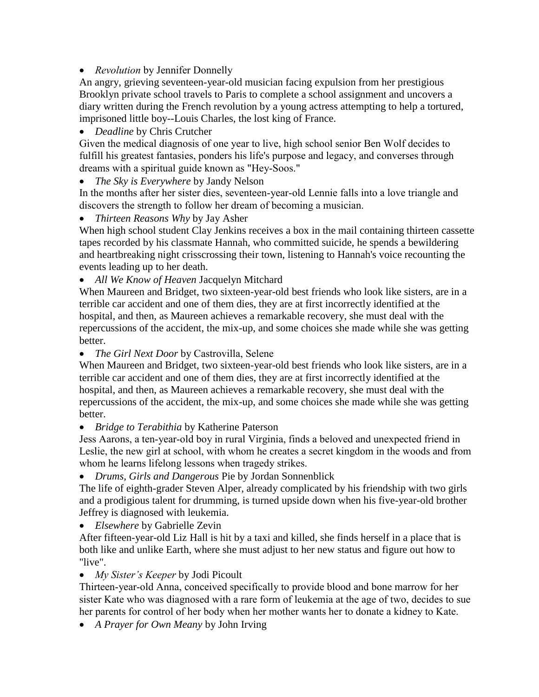*Revolution* by Jennifer Donnelly

An angry, grieving seventeen-year-old musician facing expulsion from her prestigious Brooklyn private school travels to Paris to complete a school assignment and uncovers a diary written during the French revolution by a young actress attempting to help a tortured, imprisoned little boy--Louis Charles, the lost king of France.

## *Deadline* by Chris Crutcher

Given the medical diagnosis of one year to live, high school senior Ben Wolf decides to fulfill his greatest fantasies, ponders his life's purpose and legacy, and converses through dreams with a spiritual guide known as "Hey-Soos."

*The Sky is Everywhere* by Jandy Nelson

In the months after her sister dies, seventeen-year-old Lennie falls into a love triangle and discovers the strength to follow her dream of becoming a musician.

## *Thirteen Reasons Why* by Jay Asher

When high school student Clay Jenkins receives a box in the mail containing thirteen cassette tapes recorded by his classmate Hannah, who committed suicide, he spends a bewildering and heartbreaking night crisscrossing their town, listening to Hannah's voice recounting the events leading up to her death.

*All We Know of Heaven* Jacquelyn Mitchard

When Maureen and Bridget, two sixteen-year-old best friends who look like sisters, are in a terrible car accident and one of them dies, they are at first incorrectly identified at the hospital, and then, as Maureen achieves a remarkable recovery, she must deal with the repercussions of the accident, the mix-up, and some choices she made while she was getting better.

*The Girl Next Door* by Castrovilla, Selene

When Maureen and Bridget, two sixteen-year-old best friends who look like sisters, are in a terrible car accident and one of them dies, they are at first incorrectly identified at the hospital, and then, as Maureen achieves a remarkable recovery, she must deal with the repercussions of the accident, the mix-up, and some choices she made while she was getting better.

*Bridge to Terabithia* by Katherine Paterson

Jess Aarons, a ten-year-old boy in rural Virginia, finds a beloved and unexpected friend in Leslie, the new girl at school, with whom he creates a secret kingdom in the woods and from whom he learns lifelong lessons when tragedy strikes.

*Drums, Girls and Dangerous* Pie by Jordan Sonnenblick

The life of eighth-grader Steven Alper, already complicated by his friendship with two girls and a prodigious talent for drumming, is turned upside down when his five-year-old brother Jeffrey is diagnosed with leukemia.

*Elsewhere* by Gabrielle Zevin

After fifteen-year-old Liz Hall is hit by a taxi and killed, she finds herself in a place that is both like and unlike Earth, where she must adjust to her new status and figure out how to "live".

*My Sister's Keeper* by Jodi Picoult

Thirteen-year-old Anna, conceived specifically to provide blood and bone marrow for her sister Kate who was diagnosed with a rare form of leukemia at the age of two, decides to sue her parents for control of her body when her mother wants her to donate a kidney to Kate.

*A Prayer for Own Meany* by John Irving